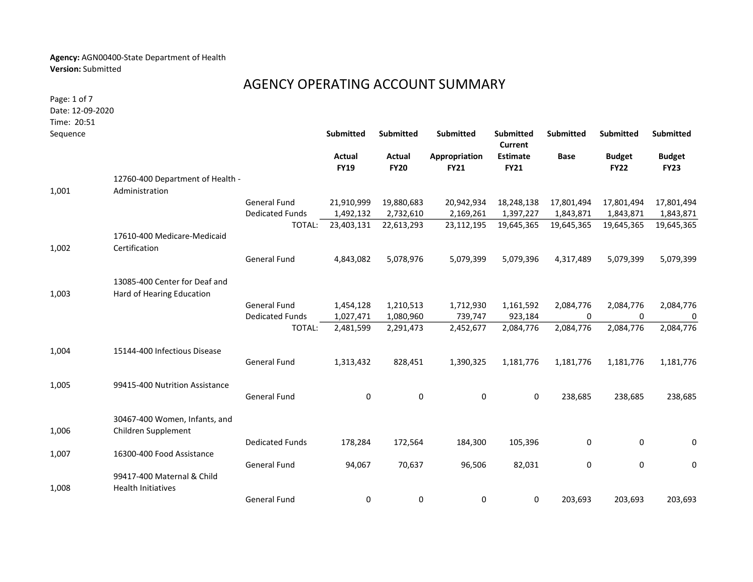## Agency: AGN00400-State Department of Health Version: Submitted

## AGENCY OPERATING ACCOUNT SUMMARY

Time: 20:51 Page: 1 of 7 Date: 12-09-2020

|                                |                           | <b>Submitted</b>                 | <b>Submitted</b>             |                              | Submitted<br>Current           | Submitted   | Submitted                    | Submitted                    |
|--------------------------------|---------------------------|----------------------------------|------------------------------|------------------------------|--------------------------------|-------------|------------------------------|------------------------------|
|                                |                           | <b>Actual</b><br><b>FY19</b>     | <b>Actual</b><br><b>FY20</b> | Appropriation<br><b>FY21</b> | <b>Estimate</b><br><b>FY21</b> | <b>Base</b> | <b>Budget</b><br><b>FY22</b> | <b>Budget</b><br><b>FY23</b> |
|                                |                           |                                  |                              |                              |                                |             |                              |                              |
| Administration                 |                           |                                  |                              |                              |                                |             |                              |                              |
|                                | <b>General Fund</b>       | 21,910,999                       | 19,880,683                   | 20,942,934                   | 18,248,138                     | 17,801,494  | 17,801,494                   | 17,801,494                   |
|                                | <b>Dedicated Funds</b>    | 1,492,132                        | 2,732,610                    | 2,169,261                    | 1,397,227                      | 1,843,871   | 1,843,871                    | 1,843,871                    |
|                                | TOTAL:                    | 23,403,131                       | 22,613,293                   | 23,112,195                   | 19,645,365                     | 19,645,365  | 19,645,365                   | 19,645,365                   |
| 17610-400 Medicare-Medicaid    |                           |                                  |                              |                              |                                |             |                              |                              |
| Certification                  |                           |                                  |                              |                              |                                |             |                              |                              |
|                                | <b>General Fund</b>       | 4,843,082                        | 5,078,976                    | 5,079,399                    | 5,079,396                      | 4,317,489   | 5,079,399                    | 5,079,399                    |
| 13085-400 Center for Deaf and  |                           |                                  |                              |                              |                                |             |                              |                              |
| Hard of Hearing Education      |                           |                                  |                              |                              |                                |             |                              |                              |
|                                | <b>General Fund</b>       | 1,454,128                        | 1,210,513                    | 1,712,930                    | 1,161,592                      | 2,084,776   | 2,084,776                    | 2,084,776                    |
|                                | <b>Dedicated Funds</b>    | 1,027,471                        | 1,080,960                    | 739,747                      | 923,184                        | 0           | 0                            | 0                            |
|                                | TOTAL:                    | 2,481,599                        | 2,291,473                    | 2,452,677                    | 2,084,776                      | 2,084,776   | 2,084,776                    | 2,084,776                    |
| 15144-400 Infectious Disease   |                           |                                  |                              |                              |                                |             |                              |                              |
|                                | <b>General Fund</b>       | 1,313,432                        | 828,451                      | 1,390,325                    | 1,181,776                      | 1,181,776   | 1,181,776                    | 1,181,776                    |
| 99415-400 Nutrition Assistance |                           |                                  |                              |                              |                                |             |                              |                              |
|                                | <b>General Fund</b>       | 0                                | 0                            | 0                            | 0                              | 238,685     | 238,685                      | 238,685                      |
| 30467-400 Women, Infants, and  |                           |                                  |                              |                              |                                |             |                              |                              |
| Children Supplement            |                           |                                  |                              |                              |                                |             |                              |                              |
|                                | <b>Dedicated Funds</b>    | 178,284                          | 172,564                      | 184,300                      | 105,396                        | 0           | 0                            | 0                            |
| 16300-400 Food Assistance      |                           |                                  |                              |                              |                                |             |                              |                              |
|                                | <b>General Fund</b>       | 94,067                           | 70,637                       | 96,506                       | 82,031                         | 0           | 0                            | 0                            |
| 99417-400 Maternal & Child     |                           |                                  |                              |                              |                                |             |                              |                              |
|                                | <b>General Fund</b>       | 0                                | 0                            | 0                            | 0                              | 203,693     | 203,693                      | 203,693                      |
|                                | <b>Health Initiatives</b> | 12760-400 Department of Health - |                              |                              | Submitted                      |             |                              |                              |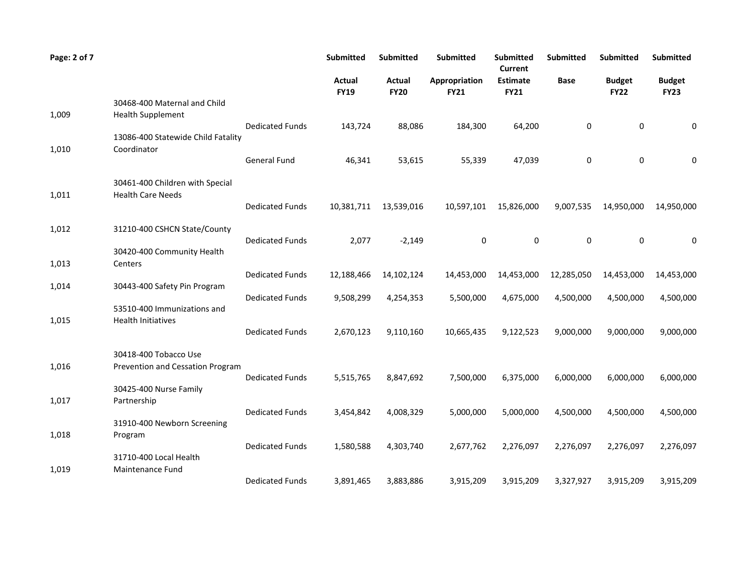| Page: 2 of 7 |                                                             |                        | <b>Submitted</b>      | <b>Submitted</b>             | <b>Submitted</b>             | <b>Submitted</b><br><b>Current</b> | <b>Submitted</b> | <b>Submitted</b>             | <b>Submitted</b>             |
|--------------|-------------------------------------------------------------|------------------------|-----------------------|------------------------------|------------------------------|------------------------------------|------------------|------------------------------|------------------------------|
|              |                                                             |                        | Actual<br><b>FY19</b> | <b>Actual</b><br><b>FY20</b> | Appropriation<br><b>FY21</b> | <b>Estimate</b><br><b>FY21</b>     | Base             | <b>Budget</b><br><b>FY22</b> | <b>Budget</b><br><b>FY23</b> |
| 1,009        | 30468-400 Maternal and Child<br><b>Health Supplement</b>    |                        |                       |                              |                              |                                    |                  |                              |                              |
|              | 13086-400 Statewide Child Fatality                          | <b>Dedicated Funds</b> | 143,724               | 88,086                       | 184,300                      | 64,200                             | 0                | 0                            | 0                            |
| 1,010        | Coordinator                                                 | <b>General Fund</b>    | 46,341                | 53,615                       | 55,339                       | 47,039                             | 0                | 0                            | 0                            |
| 1,011        | 30461-400 Children with Special<br><b>Health Care Needs</b> |                        |                       |                              |                              |                                    |                  |                              |                              |
|              |                                                             | <b>Dedicated Funds</b> | 10,381,711            | 13,539,016                   | 10,597,101                   | 15,826,000                         | 9,007,535        | 14,950,000                   | 14,950,000                   |
| 1,012        | 31210-400 CSHCN State/County                                | <b>Dedicated Funds</b> | 2,077                 | $-2,149$                     | 0                            | 0                                  | $\mathbf 0$      | 0                            | 0                            |
| 1,013        | 30420-400 Community Health<br>Centers                       |                        |                       |                              |                              |                                    |                  |                              |                              |
| 1,014        | 30443-400 Safety Pin Program                                | <b>Dedicated Funds</b> | 12,188,466            | 14,102,124                   | 14,453,000                   | 14,453,000                         | 12,285,050       | 14,453,000                   | 14,453,000                   |
|              | 53510-400 Immunizations and                                 | <b>Dedicated Funds</b> | 9,508,299             | 4,254,353                    | 5,500,000                    | 4,675,000                          | 4,500,000        | 4,500,000                    | 4,500,000                    |
| 1,015        | <b>Health Initiatives</b>                                   | <b>Dedicated Funds</b> | 2,670,123             | 9,110,160                    | 10,665,435                   | 9,122,523                          | 9,000,000        | 9,000,000                    | 9,000,000                    |
| 1,016        | 30418-400 Tobacco Use<br>Prevention and Cessation Program   |                        |                       |                              |                              |                                    |                  |                              |                              |
|              | 30425-400 Nurse Family                                      | <b>Dedicated Funds</b> | 5,515,765             | 8,847,692                    | 7,500,000                    | 6,375,000                          | 6,000,000        | 6,000,000                    | 6,000,000                    |
| 1,017        | Partnership                                                 | <b>Dedicated Funds</b> | 3,454,842             | 4,008,329                    | 5,000,000                    | 5,000,000                          | 4,500,000        | 4,500,000                    | 4,500,000                    |
| 1,018        | 31910-400 Newborn Screening<br>Program                      |                        |                       |                              |                              |                                    |                  |                              |                              |
| 1,019        | 31710-400 Local Health<br>Maintenance Fund                  | <b>Dedicated Funds</b> | 1,580,588             | 4,303,740                    | 2,677,762                    | 2,276,097                          | 2,276,097        | 2,276,097                    | 2,276,097                    |
|              |                                                             | <b>Dedicated Funds</b> | 3,891,465             | 3,883,886                    | 3,915,209                    | 3,915,209                          | 3,327,927        | 3,915,209                    | 3,915,209                    |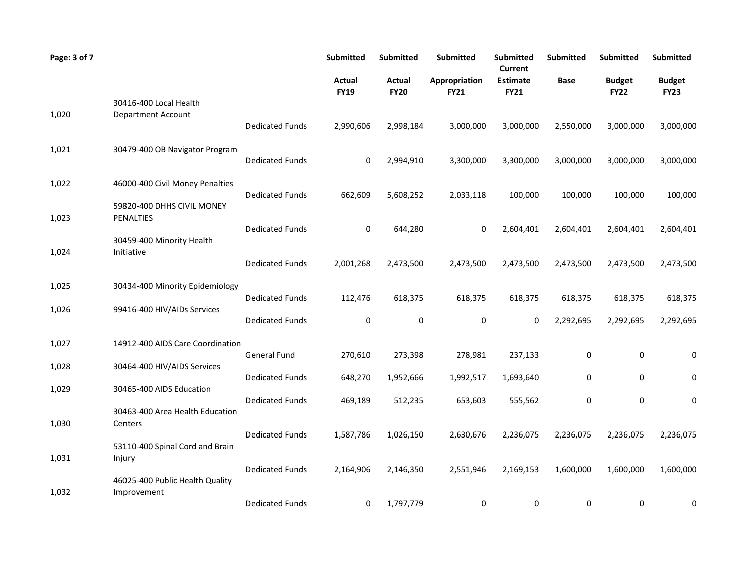| Page: 3 of 7 |                                                |                        | Submitted             | <b>Submitted</b>             | <b>Submitted</b>             | Submitted<br>Current           | <b>Submitted</b> | <b>Submitted</b>             | Submitted                    |
|--------------|------------------------------------------------|------------------------|-----------------------|------------------------------|------------------------------|--------------------------------|------------------|------------------------------|------------------------------|
|              |                                                |                        | Actual<br><b>FY19</b> | <b>Actual</b><br><b>FY20</b> | Appropriation<br><b>FY21</b> | <b>Estimate</b><br><b>FY21</b> | <b>Base</b>      | <b>Budget</b><br><b>FY22</b> | <b>Budget</b><br><b>FY23</b> |
|              | 30416-400 Local Health                         |                        |                       |                              |                              |                                |                  |                              |                              |
| 1,020        | Department Account                             | <b>Dedicated Funds</b> | 2,990,606             | 2,998,184                    | 3,000,000                    | 3,000,000                      | 2,550,000        | 3,000,000                    | 3,000,000                    |
| 1,021        | 30479-400 OB Navigator Program                 | <b>Dedicated Funds</b> | 0                     | 2,994,910                    | 3,300,000                    | 3,300,000                      | 3,000,000        | 3,000,000                    | 3,000,000                    |
| 1,022        | 46000-400 Civil Money Penalties                |                        |                       |                              |                              |                                |                  |                              |                              |
|              | 59820-400 DHHS CIVIL MONEY                     | <b>Dedicated Funds</b> | 662,609               | 5,608,252                    | 2,033,118                    | 100,000                        | 100,000          | 100,000                      | 100,000                      |
| 1,023        | PENALTIES                                      | <b>Dedicated Funds</b> | 0                     | 644,280                      | $\Omega$                     | 2,604,401                      | 2,604,401        | 2,604,401                    | 2,604,401                    |
| 1,024        | 30459-400 Minority Health<br>Initiative        |                        |                       |                              |                              |                                |                  |                              |                              |
|              |                                                | <b>Dedicated Funds</b> | 2,001,268             | 2,473,500                    | 2,473,500                    | 2,473,500                      | 2,473,500        | 2,473,500                    | 2,473,500                    |
| 1,025        | 30434-400 Minority Epidemiology                |                        |                       |                              |                              |                                |                  |                              |                              |
| 1,026        | 99416-400 HIV/AIDs Services                    | <b>Dedicated Funds</b> | 112,476               | 618,375                      | 618,375                      | 618,375                        | 618,375          | 618,375                      | 618,375                      |
|              |                                                | <b>Dedicated Funds</b> | 0                     | 0                            | 0                            | 0                              | 2,292,695        | 2,292,695                    | 2,292,695                    |
| 1,027        | 14912-400 AIDS Care Coordination               |                        |                       |                              |                              |                                |                  |                              |                              |
| 1,028        | 30464-400 HIV/AIDS Services                    | General Fund           | 270,610               | 273,398                      | 278,981                      | 237,133                        | 0                | 0                            | 0                            |
| 1,029        | 30465-400 AIDS Education                       | <b>Dedicated Funds</b> | 648,270               | 1,952,666                    | 1,992,517                    | 1,693,640                      | 0                | 0                            | 0                            |
|              |                                                | <b>Dedicated Funds</b> | 469,189               | 512,235                      | 653,603                      | 555,562                        | 0                | 0                            | 0                            |
| 1,030        | 30463-400 Area Health Education<br>Centers     |                        |                       |                              |                              |                                |                  |                              |                              |
|              | 53110-400 Spinal Cord and Brain                | <b>Dedicated Funds</b> | 1,587,786             | 1,026,150                    | 2,630,676                    | 2,236,075                      | 2,236,075        | 2,236,075                    | 2,236,075                    |
| 1,031        | Injury                                         |                        |                       |                              |                              |                                |                  |                              |                              |
| 1,032        | 46025-400 Public Health Quality<br>Improvement | <b>Dedicated Funds</b> | 2,164,906             | 2,146,350                    | 2,551,946                    | 2,169,153                      | 1,600,000        | 1,600,000                    | 1,600,000                    |
|              |                                                | <b>Dedicated Funds</b> | 0                     | 1,797,779                    | 0                            | 0                              | 0                | 0                            | 0                            |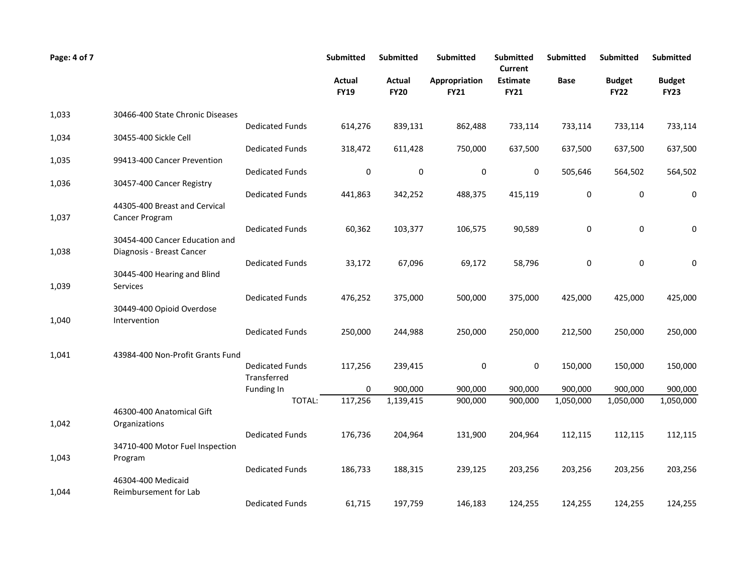| Page: 4 of 7 |                                             |                           | <b>Submitted</b>      | <b>Submitted</b>      | Submitted                    | <b>Submitted</b><br>Current    | <b>Submitted</b> | Submitted                    | <b>Submitted</b>             |
|--------------|---------------------------------------------|---------------------------|-----------------------|-----------------------|------------------------------|--------------------------------|------------------|------------------------------|------------------------------|
|              |                                             |                           | Actual<br><b>FY19</b> | Actual<br><b>FY20</b> | Appropriation<br><b>FY21</b> | <b>Estimate</b><br><b>FY21</b> | <b>Base</b>      | <b>Budget</b><br><b>FY22</b> | <b>Budget</b><br><b>FY23</b> |
| 1,033        | 30466-400 State Chronic Diseases            |                           |                       |                       |                              |                                |                  |                              |                              |
| 1,034        | 30455-400 Sickle Cell                       | <b>Dedicated Funds</b>    | 614,276               | 839,131               | 862,488                      | 733,114                        | 733,114          | 733,114                      | 733,114                      |
|              |                                             | <b>Dedicated Funds</b>    | 318,472               | 611,428               | 750,000                      | 637,500                        | 637,500          | 637,500                      | 637,500                      |
| 1,035        | 99413-400 Cancer Prevention                 |                           |                       |                       |                              |                                |                  |                              |                              |
| 1,036        | 30457-400 Cancer Registry                   | <b>Dedicated Funds</b>    | 0                     | 0                     | 0                            | 0                              | 505,646          | 564,502                      | 564,502                      |
|              |                                             | <b>Dedicated Funds</b>    | 441,863               | 342,252               | 488,375                      | 415,119                        | 0                | 0                            | 0                            |
|              | 44305-400 Breast and Cervical               |                           |                       |                       |                              |                                |                  |                              |                              |
| 1,037        | Cancer Program                              | <b>Dedicated Funds</b>    | 60,362                | 103,377               | 106,575                      | 90,589                         | $\pmb{0}$        | 0                            | 0                            |
|              | 30454-400 Cancer Education and              |                           |                       |                       |                              |                                |                  |                              |                              |
| 1,038        | Diagnosis - Breast Cancer                   | <b>Dedicated Funds</b>    | 33,172                | 67,096                | 69,172                       | 58,796                         | 0                | 0                            | 0                            |
|              | 30445-400 Hearing and Blind                 |                           |                       |                       |                              |                                |                  |                              |                              |
| 1,039        | Services                                    |                           |                       |                       |                              |                                |                  |                              |                              |
|              | 30449-400 Opioid Overdose                   | <b>Dedicated Funds</b>    | 476,252               | 375,000               | 500,000                      | 375,000                        | 425,000          | 425,000                      | 425,000                      |
| 1,040        | Intervention                                |                           |                       |                       |                              |                                |                  |                              |                              |
|              |                                             | <b>Dedicated Funds</b>    | 250,000               | 244,988               | 250,000                      | 250,000                        | 212,500          | 250,000                      | 250,000                      |
| 1,041        | 43984-400 Non-Profit Grants Fund            |                           |                       |                       |                              |                                |                  |                              |                              |
|              |                                             | <b>Dedicated Funds</b>    | 117,256               | 239,415               | 0                            | 0                              | 150,000          | 150,000                      | 150,000                      |
|              |                                             | Transferred<br>Funding In | 0                     | 900,000               | 900,000                      | 900,000                        | 900,000          | 900,000                      | 900,000                      |
|              |                                             | TOTAL:                    | 117,256               | 1,139,415             | 900,000                      | 900,000                        | 1,050,000        | 1,050,000                    | 1,050,000                    |
|              | 46300-400 Anatomical Gift                   |                           |                       |                       |                              |                                |                  |                              |                              |
| 1,042        | Organizations                               | <b>Dedicated Funds</b>    | 176,736               | 204,964               | 131,900                      | 204,964                        | 112,115          | 112,115                      | 112,115                      |
|              | 34710-400 Motor Fuel Inspection             |                           |                       |                       |                              |                                |                  |                              |                              |
| 1,043        | Program                                     |                           |                       |                       |                              |                                |                  |                              |                              |
|              |                                             | <b>Dedicated Funds</b>    | 186,733               | 188,315               | 239,125                      | 203,256                        | 203,256          | 203,256                      | 203,256                      |
| 1,044        | 46304-400 Medicaid<br>Reimbursement for Lab |                           |                       |                       |                              |                                |                  |                              |                              |
|              |                                             | <b>Dedicated Funds</b>    | 61,715                | 197,759               | 146,183                      | 124,255                        | 124,255          | 124,255                      | 124,255                      |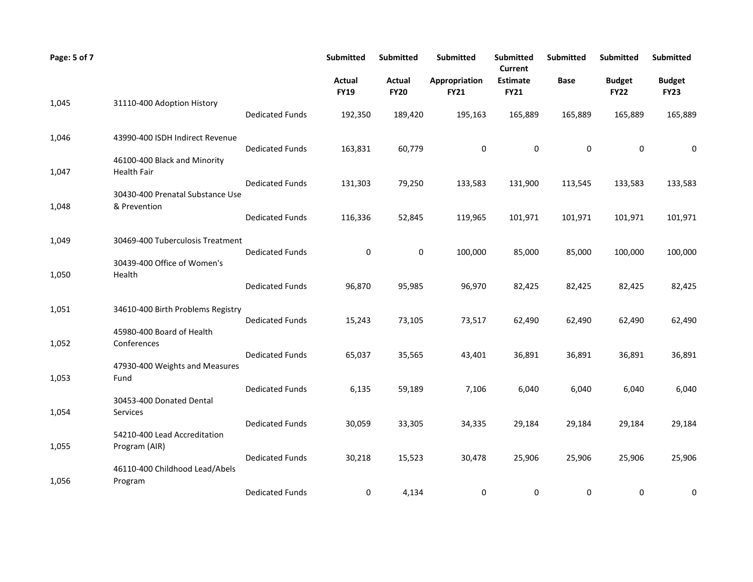| Page: 5 of 7 |                                                                 |                        | Submitted             | Submitted                    | <b>Submitted</b>             | <b>Submitted</b><br><b>Current</b> | <b>Submitted</b> | <b>Submitted</b>             | <b>Submitted</b>             |
|--------------|-----------------------------------------------------------------|------------------------|-----------------------|------------------------------|------------------------------|------------------------------------|------------------|------------------------------|------------------------------|
|              |                                                                 |                        | Actual<br><b>FY19</b> | <b>Actual</b><br><b>FY20</b> | Appropriation<br><b>FY21</b> | <b>Estimate</b><br><b>FY21</b>     | Base             | <b>Budget</b><br><b>FY22</b> | <b>Budget</b><br><b>FY23</b> |
| 1,045        | 31110-400 Adoption History                                      | <b>Dedicated Funds</b> | 192,350               | 189,420                      | 195,163                      | 165,889                            | 165,889          | 165,889                      | 165,889                      |
| 1,046        | 43990-400 ISDH Indirect Revenue<br>46100-400 Black and Minority | <b>Dedicated Funds</b> | 163,831               | 60,779                       | 0                            | 0                                  | 0                | 0                            | 0                            |
| 1,047        | <b>Health Fair</b>                                              | <b>Dedicated Funds</b> | 131,303               | 79,250                       | 133,583                      | 131,900                            | 113,545          | 133,583                      | 133,583                      |
| 1,048        | 30430-400 Prenatal Substance Use<br>& Prevention                | <b>Dedicated Funds</b> | 116,336               | 52,845                       | 119,965                      | 101,971                            | 101,971          | 101,971                      | 101,971                      |
| 1,049        | 30469-400 Tuberculosis Treatment                                |                        |                       |                              |                              |                                    |                  |                              |                              |
| 1,050        | 30439-400 Office of Women's<br>Health                           | <b>Dedicated Funds</b> | 0                     | 0                            | 100,000                      | 85,000                             | 85,000           | 100,000                      | 100,000                      |
|              |                                                                 | <b>Dedicated Funds</b> | 96,870                | 95,985                       | 96,970                       | 82,425                             | 82,425           | 82,425                       | 82,425                       |
| 1,051        | 34610-400 Birth Problems Registry                               | <b>Dedicated Funds</b> | 15,243                | 73,105                       | 73,517                       | 62,490                             | 62,490           | 62,490                       | 62,490                       |
| 1,052        | 45980-400 Board of Health<br>Conferences                        | <b>Dedicated Funds</b> | 65,037                | 35,565                       | 43,401                       | 36,891                             | 36,891           | 36,891                       | 36,891                       |
| 1,053        | 47930-400 Weights and Measures<br>Fund                          |                        |                       |                              |                              |                                    |                  |                              |                              |
| 1,054        | 30453-400 Donated Dental<br>Services                            | <b>Dedicated Funds</b> | 6,135                 | 59,189                       | 7,106                        | 6,040                              | 6,040            | 6,040                        | 6,040                        |
|              | 54210-400 Lead Accreditation                                    | <b>Dedicated Funds</b> | 30,059                | 33,305                       | 34,335                       | 29,184                             | 29,184           | 29,184                       | 29,184                       |
| 1,055        | Program (AIR)                                                   | <b>Dedicated Funds</b> | 30,218                | 15,523                       | 30,478                       | 25,906                             | 25,906           | 25,906                       | 25,906                       |
| 1,056        | 46110-400 Childhood Lead/Abels<br>Program                       | <b>Dedicated Funds</b> | 0                     | 4,134                        | 0                            | 0                                  | 0                | 0                            | 0                            |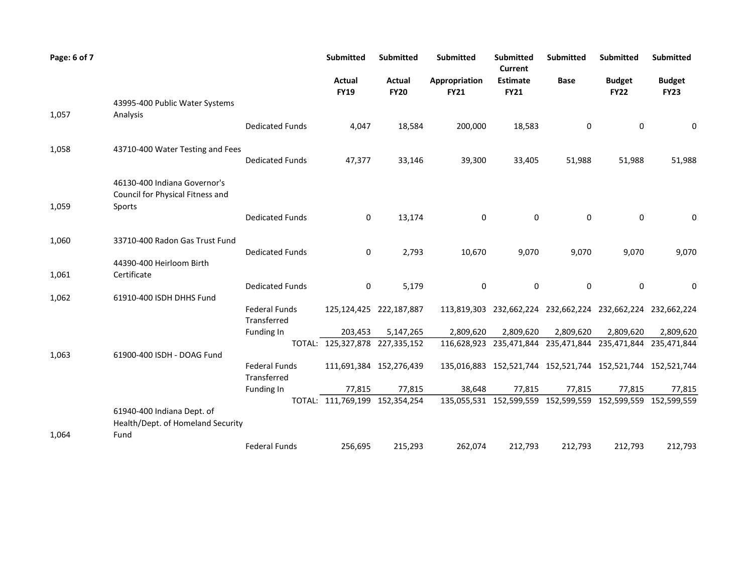| Page: 6 of 7 |                                                                            |                                     | Submitted                      | <b>Submitted</b>             | <b>Submitted</b>             | <b>Submitted</b><br><b>Current</b> | Submitted                                                   | <b>Submitted</b>             | <b>Submitted</b>             |
|--------------|----------------------------------------------------------------------------|-------------------------------------|--------------------------------|------------------------------|------------------------------|------------------------------------|-------------------------------------------------------------|------------------------------|------------------------------|
|              |                                                                            |                                     | Actual<br><b>FY19</b>          | <b>Actual</b><br><b>FY20</b> | Appropriation<br><b>FY21</b> | <b>Estimate</b><br><b>FY21</b>     | <b>Base</b>                                                 | <b>Budget</b><br><b>FY22</b> | <b>Budget</b><br><b>FY23</b> |
|              | 43995-400 Public Water Systems                                             |                                     |                                |                              |                              |                                    |                                                             |                              |                              |
| 1,057        | Analysis                                                                   | <b>Dedicated Funds</b>              | 4,047                          | 18,584                       | 200,000                      | 18,583                             | 0                                                           | 0                            | 0                            |
| 1,058        | 43710-400 Water Testing and Fees                                           | <b>Dedicated Funds</b>              | 47,377                         | 33,146                       | 39,300                       | 33,405                             | 51,988                                                      | 51,988                       | 51,988                       |
| 1,059        | 46130-400 Indiana Governor's<br>Council for Physical Fitness and<br>Sports |                                     |                                |                              |                              |                                    |                                                             |                              |                              |
|              |                                                                            | <b>Dedicated Funds</b>              | 0                              | 13,174                       | 0                            | 0                                  | 0                                                           | 0                            | 0                            |
| 1,060        | 33710-400 Radon Gas Trust Fund                                             | <b>Dedicated Funds</b>              | 0                              | 2,793                        | 10,670                       | 9,070                              | 9,070                                                       | 9,070                        | 9,070                        |
|              | 44390-400 Heirloom Birth                                                   |                                     |                                |                              |                              |                                    |                                                             |                              |                              |
| 1,061        | Certificate                                                                |                                     |                                |                              |                              |                                    |                                                             |                              |                              |
|              |                                                                            | <b>Dedicated Funds</b>              | 0                              | 5,179                        | 0                            | 0                                  | 0                                                           | 0                            | 0                            |
| 1,062        | 61910-400 ISDH DHHS Fund                                                   | <b>Federal Funds</b><br>Transferred |                                | 125,124,425 222,187,887      |                              |                                    | 113,819,303 232,662,224 232,662,224 232,662,224 232,662,224 |                              |                              |
|              |                                                                            | Funding In                          | 203,453                        | 5,147,265                    | 2,809,620                    | 2,809,620                          | 2,809,620                                                   | 2,809,620                    | 2,809,620                    |
| 1,063        | 61900-400 ISDH - DOAG Fund                                                 |                                     | TOTAL: 125,327,878 227,335,152 |                              |                              |                                    | 116,628,923 235,471,844 235,471,844 235,471,844 235,471,844 |                              |                              |
|              |                                                                            | <b>Federal Funds</b><br>Transferred |                                | 111,691,384 152,276,439      |                              |                                    | 135,016,883 152,521,744 152,521,744 152,521,744 152,521,744 |                              |                              |
|              |                                                                            | Funding In                          | 77,815                         | 77,815                       | 38,648                       | 77,815                             | 77,815                                                      | 77,815                       | 77,815                       |
|              |                                                                            |                                     | TOTAL: 111,769,199 152,354,254 |                              |                              |                                    | 135,055,531 152,599,559 152,599,559 152,599,559 152,599,559 |                              |                              |
|              | 61940-400 Indiana Dept. of<br>Health/Dept. of Homeland Security            |                                     |                                |                              |                              |                                    |                                                             |                              |                              |
| 1,064        | Fund                                                                       |                                     |                                |                              |                              |                                    |                                                             |                              |                              |
|              |                                                                            | <b>Federal Funds</b>                | 256,695                        | 215,293                      | 262,074                      | 212,793                            | 212,793                                                     | 212,793                      | 212,793                      |